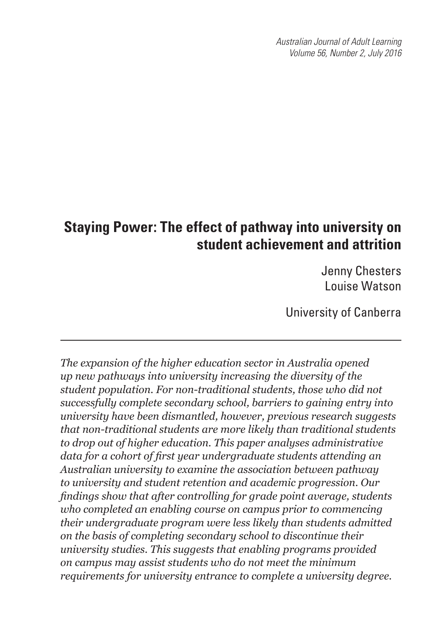*Australian Journal of Adult Learning Volume 56, Number 2, July 2016*

# **Staying Power: The effect of pathway into university on student achievement and attrition**

Jenny Chesters Louise Watson

University of Canberra

*The expansion of the higher education sector in Australia opened up new pathways into university increasing the diversity of the student population. For non-traditional students, those who did not successfully complete secondary school, barriers to gaining entry into university have been dismantled, however, previous research suggests that non-traditional students are more likely than traditional students to drop out of higher education. This paper analyses administrative data for a cohort of first year undergraduate students attending an Australian university to examine the association between pathway to university and student retention and academic progression. Our findings show that after controlling for grade point average, students who completed an enabling course on campus prior to commencing their undergraduate program were less likely than students admitted on the basis of completing secondary school to discontinue their university studies. This suggests that enabling programs provided on campus may assist students who do not meet the minimum requirements for university entrance to complete a university degree.*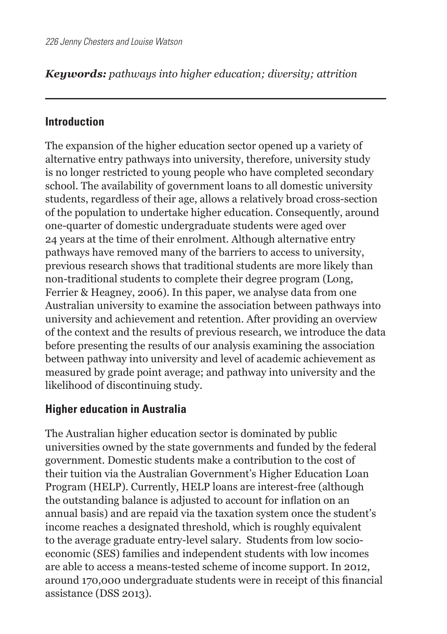## *Keywords: pathways into higher education; diversity; attrition*

### **Introduction**

The expansion of the higher education sector opened up a variety of alternative entry pathways into university, therefore, university study is no longer restricted to young people who have completed secondary school. The availability of government loans to all domestic university students, regardless of their age, allows a relatively broad cross-section of the population to undertake higher education. Consequently, around one-quarter of domestic undergraduate students were aged over 24 years at the time of their enrolment. Although alternative entry pathways have removed many of the barriers to access to university, previous research shows that traditional students are more likely than non-traditional students to complete their degree program (Long, Ferrier & Heagney, 2006). In this paper, we analyse data from one Australian university to examine the association between pathways into university and achievement and retention. After providing an overview of the context and the results of previous research, we introduce the data before presenting the results of our analysis examining the association between pathway into university and level of academic achievement as measured by grade point average; and pathway into university and the likelihood of discontinuing study.

### **Higher education in Australia**

The Australian higher education sector is dominated by public universities owned by the state governments and funded by the federal government. Domestic students make a contribution to the cost of their tuition via the Australian Government's Higher Education Loan Program (HELP). Currently, HELP loans are interest-free (although the outstanding balance is adjusted to account for inflation on an annual basis) and are repaid via the taxation system once the student's income reaches a designated threshold, which is roughly equivalent to the average graduate entry-level salary. Students from low socioeconomic (SES) families and independent students with low incomes are able to access a means-tested scheme of income support. In 2012, around 170,000 undergraduate students were in receipt of this financial assistance (DSS 2013).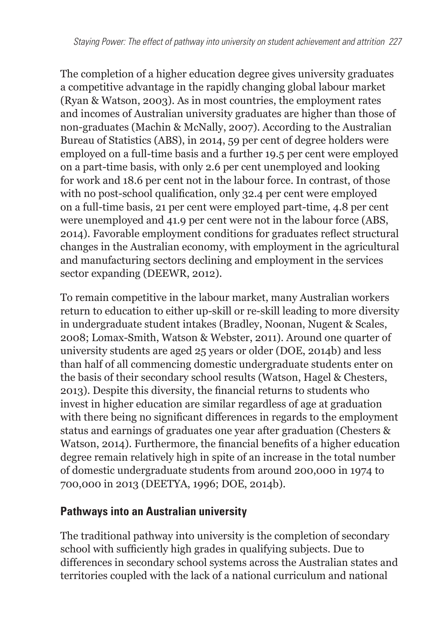The completion of a higher education degree gives university graduates a competitive advantage in the rapidly changing global labour market (Ryan & Watson, 2003). As in most countries, the employment rates and incomes of Australian university graduates are higher than those of non-graduates (Machin & McNally, 2007). According to the Australian Bureau of Statistics (ABS), in 2014, 59 per cent of degree holders were employed on a full-time basis and a further 19.5 per cent were employed on a part-time basis, with only 2.6 per cent unemployed and looking for work and 18.6 per cent not in the labour force. In contrast, of those with no post-school qualification, only 32.4 per cent were employed on a full-time basis, 21 per cent were employed part-time, 4.8 per cent were unemployed and 41.9 per cent were not in the labour force (ABS, 2014). Favorable employment conditions for graduates reflect structural changes in the Australian economy, with employment in the agricultural and manufacturing sectors declining and employment in the services sector expanding (DEEWR, 2012).

To remain competitive in the labour market, many Australian workers return to education to either up-skill or re-skill leading to more diversity in undergraduate student intakes (Bradley, Noonan, Nugent & Scales, 2008; Lomax-Smith, Watson & Webster, 2011). Around one quarter of university students are aged 25 years or older (DOE, 2014b) and less than half of all commencing domestic undergraduate students enter on the basis of their secondary school results (Watson, Hagel & Chesters, 2013). Despite this diversity, the financial returns to students who invest in higher education are similar regardless of age at graduation with there being no significant differences in regards to the employment status and earnings of graduates one year after graduation (Chesters & Watson, 2014). Furthermore, the financial benefits of a higher education degree remain relatively high in spite of an increase in the total number of domestic undergraduate students from around 200,000 in 1974 to 700,000 in 2013 (DEETYA, 1996; DOE, 2014b).

## **Pathways into an Australian university**

The traditional pathway into university is the completion of secondary school with sufficiently high grades in qualifying subjects. Due to differences in secondary school systems across the Australian states and territories coupled with the lack of a national curriculum and national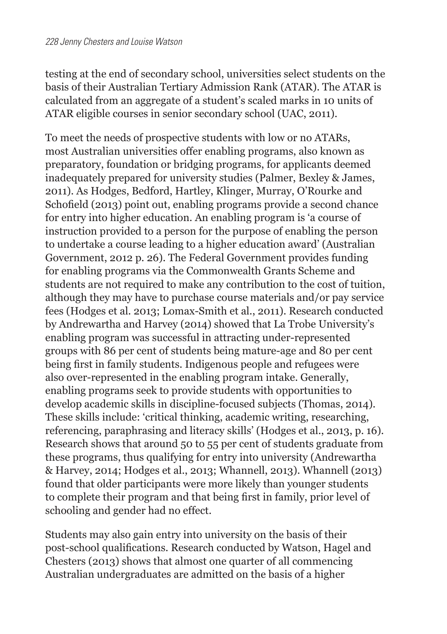testing at the end of secondary school, universities select students on the basis of their Australian Tertiary Admission Rank (ATAR). The ATAR is calculated from an aggregate of a student's scaled marks in 10 units of ATAR eligible courses in senior secondary school (UAC, 2011).

To meet the needs of prospective students with low or no ATARs, most Australian universities offer enabling programs, also known as preparatory, foundation or bridging programs, for applicants deemed inadequately prepared for university studies (Palmer, Bexley & James, 2011). As Hodges, Bedford, Hartley, Klinger, Murray, O'Rourke and Schofield (2013) point out, enabling programs provide a second chance for entry into higher education. An enabling program is 'a course of instruction provided to a person for the purpose of enabling the person to undertake a course leading to a higher education award' (Australian Government, 2012 p. 26). The Federal Government provides funding for enabling programs via the Commonwealth Grants Scheme and students are not required to make any contribution to the cost of tuition, although they may have to purchase course materials and/or pay service fees (Hodges et al. 2013; Lomax-Smith et al., 2011). Research conducted by Andrewartha and Harvey (2014) showed that La Trobe University's enabling program was successful in attracting under-represented groups with 86 per cent of students being mature-age and 80 per cent being first in family students. Indigenous people and refugees were also over-represented in the enabling program intake. Generally, enabling programs seek to provide students with opportunities to develop academic skills in discipline-focused subjects (Thomas, 2014). These skills include: 'critical thinking, academic writing, researching, referencing, paraphrasing and literacy skills' (Hodges et al., 2013, p. 16). Research shows that around 50 to 55 per cent of students graduate from these programs, thus qualifying for entry into university (Andrewartha & Harvey, 2014; Hodges et al., 2013; Whannell, 2013). Whannell (2013) found that older participants were more likely than younger students to complete their program and that being first in family, prior level of schooling and gender had no effect.

Students may also gain entry into university on the basis of their post-school qualifications. Research conducted by Watson, Hagel and Chesters (2013) shows that almost one quarter of all commencing Australian undergraduates are admitted on the basis of a higher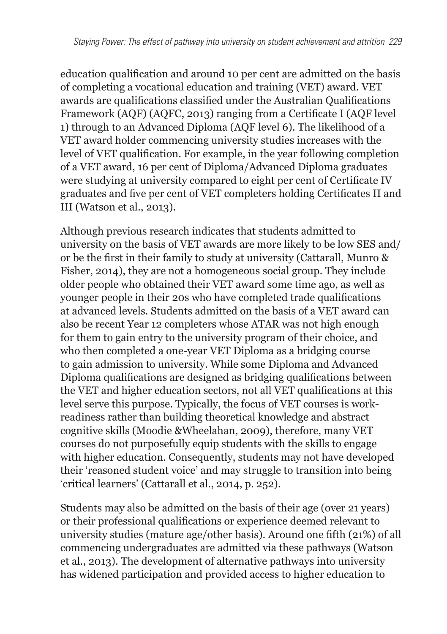education qualification and around 10 per cent are admitted on the basis of completing a vocational education and training (VET) award. VET awards are qualifications classified under the Australian Qualifications Framework (AQF) (AQFC, 2013) ranging from a Certificate I (AQF level 1) through to an Advanced Diploma (AQF level 6). The likelihood of a VET award holder commencing university studies increases with the level of VET qualification. For example, in the year following completion of a VET award, 16 per cent of Diploma/Advanced Diploma graduates were studying at university compared to eight per cent of Certificate IV graduates and five per cent of VET completers holding Certificates II and III (Watson et al., 2013).

Although previous research indicates that students admitted to university on the basis of VET awards are more likely to be low SES and/ or be the first in their family to study at university (Cattarall, Munro & Fisher, 2014), they are not a homogeneous social group. They include older people who obtained their VET award some time ago, as well as younger people in their 20s who have completed trade qualifications at advanced levels. Students admitted on the basis of a VET award can also be recent Year 12 completers whose ATAR was not high enough for them to gain entry to the university program of their choice, and who then completed a one-year VET Diploma as a bridging course to gain admission to university. While some Diploma and Advanced Diploma qualifications are designed as bridging qualifications between the VET and higher education sectors, not all VET qualifications at this level serve this purpose. Typically, the focus of VET courses is workreadiness rather than building theoretical knowledge and abstract cognitive skills (Moodie &Wheelahan, 2009), therefore, many VET courses do not purposefully equip students with the skills to engage with higher education. Consequently, students may not have developed their 'reasoned student voice' and may struggle to transition into being 'critical learners' (Cattarall et al., 2014, p. 252).

Students may also be admitted on the basis of their age (over 21 years) or their professional qualifications or experience deemed relevant to university studies (mature age/other basis). Around one fifth (21%) of all commencing undergraduates are admitted via these pathways (Watson et al., 2013). The development of alternative pathways into university has widened participation and provided access to higher education to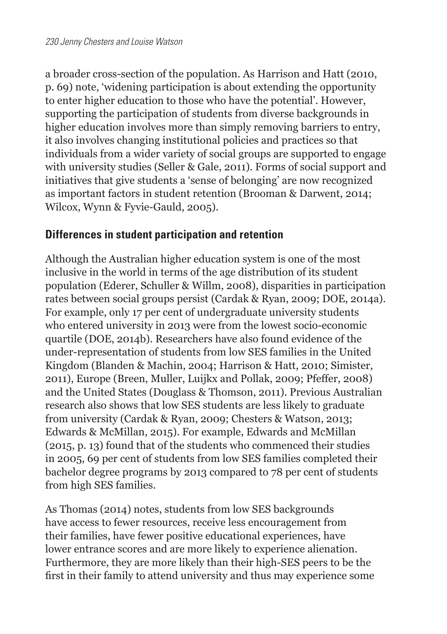a broader cross-section of the population. As Harrison and Hatt (2010, p. 69) note, 'widening participation is about extending the opportunity to enter higher education to those who have the potential'. However, supporting the participation of students from diverse backgrounds in higher education involves more than simply removing barriers to entry, it also involves changing institutional policies and practices so that individuals from a wider variety of social groups are supported to engage with university studies (Seller & Gale, 2011). Forms of social support and initiatives that give students a 'sense of belonging' are now recognized as important factors in student retention (Brooman & Darwent, 2014; Wilcox, Wynn & Fyvie-Gauld, 2005).

## **Differences in student participation and retention**

Although the Australian higher education system is one of the most inclusive in the world in terms of the age distribution of its student population (Ederer, Schuller & Willm, 2008), disparities in participation rates between social groups persist (Cardak & Ryan, 2009; DOE, 2014a). For example, only 17 per cent of undergraduate university students who entered university in 2013 were from the lowest socio-economic quartile (DOE, 2014b). Researchers have also found evidence of the under-representation of students from low SES families in the United Kingdom (Blanden & Machin, 2004; Harrison & Hatt, 2010; Simister, 2011), Europe (Breen, Muller, Luijkx and Pollak, 2009; Pfeffer, 2008) and the United States (Douglass & Thomson, 2011). Previous Australian research also shows that low SES students are less likely to graduate from university (Cardak & Ryan, 2009; Chesters & Watson, 2013; Edwards & McMillan, 2015). For example, Edwards and McMillan (2015, p. 13) found that of the students who commenced their studies in 2005, 69 per cent of students from low SES families completed their bachelor degree programs by 2013 compared to 78 per cent of students from high SES families.

As Thomas (2014) notes, students from low SES backgrounds have access to fewer resources, receive less encouragement from their families, have fewer positive educational experiences, have lower entrance scores and are more likely to experience alienation. Furthermore, they are more likely than their high-SES peers to be the first in their family to attend university and thus may experience some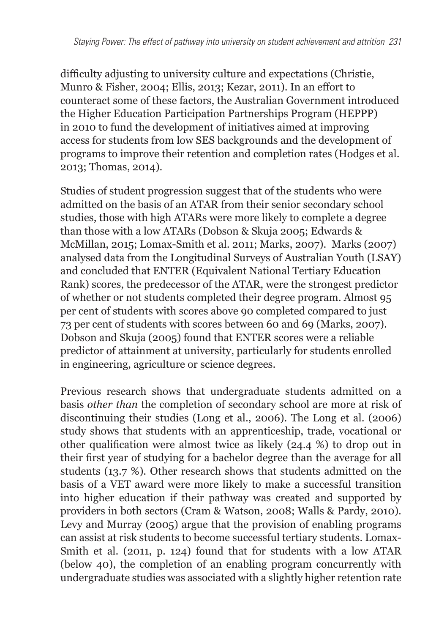difficulty adjusting to university culture and expectations (Christie, Munro & Fisher, 2004; Ellis, 2013; Kezar, 2011). In an effort to counteract some of these factors, the Australian Government introduced the Higher Education Participation Partnerships Program (HEPPP) in 2010 to fund the development of initiatives aimed at improving access for students from low SES backgrounds and the development of programs to improve their retention and completion rates (Hodges et al. 2013; Thomas, 2014).

Studies of student progression suggest that of the students who were admitted on the basis of an ATAR from their senior secondary school studies, those with high ATARs were more likely to complete a degree than those with a low ATARs (Dobson & Skuja 2005; Edwards & McMillan, 2015; Lomax-Smith et al. 2011; Marks, 2007). Marks (2007) analysed data from the Longitudinal Surveys of Australian Youth (LSAY) and concluded that ENTER (Equivalent National Tertiary Education Rank) scores, the predecessor of the ATAR, were the strongest predictor of whether or not students completed their degree program. Almost 95 per cent of students with scores above 90 completed compared to just 73 per cent of students with scores between 60 and 69 (Marks, 2007). Dobson and Skuja (2005) found that ENTER scores were a reliable predictor of attainment at university, particularly for students enrolled in engineering, agriculture or science degrees.

Previous research shows that undergraduate students admitted on a basis *other than* the completion of secondary school are more at risk of discontinuing their studies (Long et al., 2006). The Long et al. (2006) study shows that students with an apprenticeship, trade, vocational or other qualification were almost twice as likely (24.4 %) to drop out in their first year of studying for a bachelor degree than the average for all students (13.7 %). Other research shows that students admitted on the basis of a VET award were more likely to make a successful transition into higher education if their pathway was created and supported by providers in both sectors (Cram & Watson, 2008; Walls & Pardy, 2010). Levy and Murray (2005) argue that the provision of enabling programs can assist at risk students to become successful tertiary students. Lomax-Smith et al. (2011, p. 124) found that for students with a low ATAR (below 40), the completion of an enabling program concurrently with undergraduate studies was associated with a slightly higher retention rate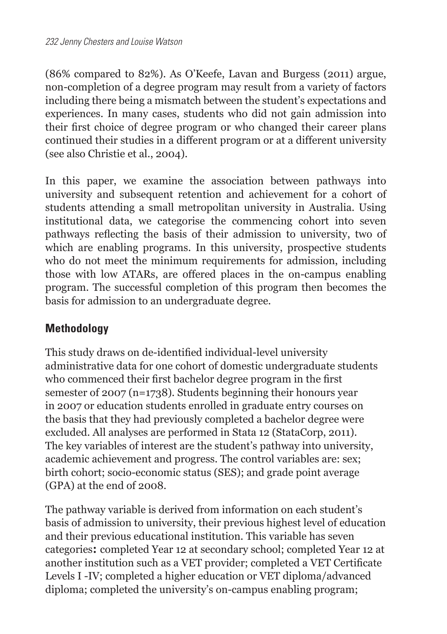(86% compared to 82%). As O'Keefe, Lavan and Burgess (2011) argue, non-completion of a degree program may result from a variety of factors including there being a mismatch between the student's expectations and experiences. In many cases, students who did not gain admission into their first choice of degree program or who changed their career plans continued their studies in a different program or at a different university (see also Christie et al., 2004).

In this paper, we examine the association between pathways into university and subsequent retention and achievement for a cohort of students attending a small metropolitan university in Australia. Using institutional data, we categorise the commencing cohort into seven pathways reflecting the basis of their admission to university, two of which are enabling programs. In this university, prospective students who do not meet the minimum requirements for admission, including those with low ATARs, are offered places in the on-campus enabling program. The successful completion of this program then becomes the basis for admission to an undergraduate degree.

## **Methodology**

This study draws on de-identified individual-level university administrative data for one cohort of domestic undergraduate students who commenced their first bachelor degree program in the first semester of 2007 (n=1738). Students beginning their honours year in 2007 or education students enrolled in graduate entry courses on the basis that they had previously completed a bachelor degree were excluded. All analyses are performed in Stata 12 (StataCorp, 2011). The key variables of interest are the student's pathway into university, academic achievement and progress. The control variables are: sex; birth cohort; socio-economic status (SES); and grade point average (GPA) at the end of 2008.

The pathway variable is derived from information on each student's basis of admission to university, their previous highest level of education and their previous educational institution. This variable has seven categories**:** completed Year 12 at secondary school; completed Year 12 at another institution such as a VET provider; completed a VET Certificate Levels I -IV; completed a higher education or VET diploma/advanced diploma; completed the university's on-campus enabling program;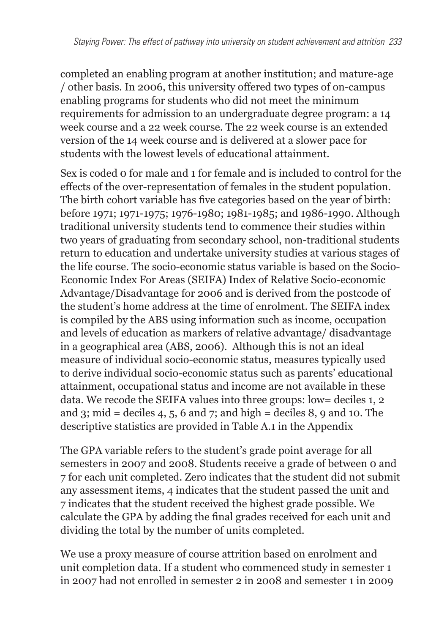completed an enabling program at another institution; and mature-age / other basis. In 2006, this university offered two types of on-campus enabling programs for students who did not meet the minimum requirements for admission to an undergraduate degree program: a 14 week course and a 22 week course. The 22 week course is an extended version of the 14 week course and is delivered at a slower pace for students with the lowest levels of educational attainment.

Sex is coded 0 for male and 1 for female and is included to control for the effects of the over-representation of females in the student population. The birth cohort variable has five categories based on the year of birth: before 1971; 1971-1975; 1976-1980; 1981-1985; and 1986-1990. Although traditional university students tend to commence their studies within two years of graduating from secondary school, non-traditional students return to education and undertake university studies at various stages of the life course. The socio-economic status variable is based on the Socio-Economic Index For Areas (SEIFA) Index of Relative Socio-economic Advantage/Disadvantage for 2006 and is derived from the postcode of the student's home address at the time of enrolment. The SEIFA index is compiled by the ABS using information such as income, occupation and levels of education as markers of relative advantage/ disadvantage in a geographical area (ABS, 2006). Although this is not an ideal measure of individual socio-economic status, measures typically used to derive individual socio-economic status such as parents' educational attainment, occupational status and income are not available in these data. We recode the SEIFA values into three groups: low= deciles 1, 2 and 3; mid = deciles 4, 5, 6 and 7; and high = deciles 8, 9 and 10. The descriptive statistics are provided in Table A.1 in the Appendix

The GPA variable refers to the student's grade point average for all semesters in 2007 and 2008. Students receive a grade of between 0 and 7 for each unit completed. Zero indicates that the student did not submit any assessment items, 4 indicates that the student passed the unit and 7 indicates that the student received the highest grade possible. We calculate the GPA by adding the final grades received for each unit and dividing the total by the number of units completed.

We use a proxy measure of course attrition based on enrolment and unit completion data. If a student who commenced study in semester 1 in 2007 had not enrolled in semester 2 in 2008 and semester 1 in 2009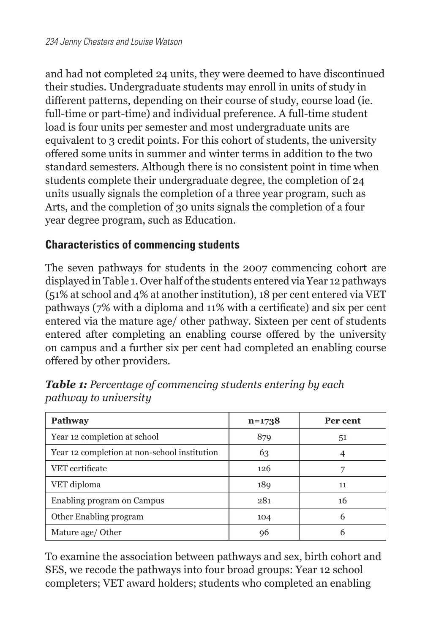and had not completed 24 units, they were deemed to have discontinued their studies. Undergraduate students may enroll in units of study in different patterns, depending on their course of study, course load (ie. full-time or part-time) and individual preference. A full-time student load is four units per semester and most undergraduate units are equivalent to 3 credit points. For this cohort of students, the university offered some units in summer and winter terms in addition to the two standard semesters. Although there is no consistent point in time when students complete their undergraduate degree, the completion of 24 units usually signals the completion of a three year program, such as Arts, and the completion of 30 units signals the completion of a four year degree program, such as Education.

## **Characteristics of commencing students**

The seven pathways for students in the 2007 commencing cohort are displayed in Table 1. Over half of the students entered via Year 12 pathways (51% at school and 4% at another institution), 18 per cent entered via VET pathways (7% with a diploma and 11% with a certificate) and six per cent entered via the mature age/ other pathway. Sixteen per cent of students entered after completing an enabling course offered by the university on campus and a further six per cent had completed an enabling course offered by other providers.

| Pathway                                      | $n = 1738$ | Per cent |
|----------------------------------------------|------------|----------|
| Year 12 completion at school                 | 879        | 51       |
| Year 12 completion at non-school institution | 63         |          |
| VET certificate                              | 126        |          |
| VET diploma                                  | 189        | 11       |
| Enabling program on Campus                   | 281        | 16       |
| Other Enabling program                       | 104        | 6        |
| Mature age/ Other                            | 96         |          |

*Table 1: Percentage of commencing students entering by each pathway to university*

To examine the association between pathways and sex, birth cohort and SES, we recode the pathways into four broad groups: Year 12 school completers; VET award holders; students who completed an enabling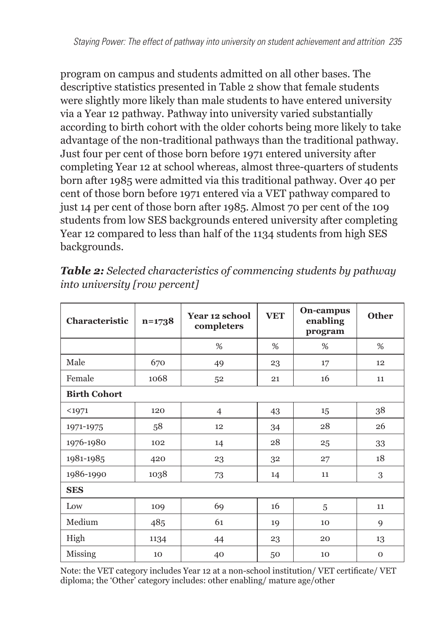program on campus and students admitted on all other bases. The descriptive statistics presented in Table 2 show that female students were slightly more likely than male students to have entered university via a Year 12 pathway. Pathway into university varied substantially according to birth cohort with the older cohorts being more likely to take advantage of the non-traditional pathways than the traditional pathway. Just four per cent of those born before 1971 entered university after completing Year 12 at school whereas, almost three-quarters of students born after 1985 were admitted via this traditional pathway. Over 40 per cent of those born before 1971 entered via a VET pathway compared to just 14 per cent of those born after 1985. Almost 70 per cent of the 109 students from low SES backgrounds entered university after completing Year 12 compared to less than half of the 1134 students from high SES backgrounds.

| Characteristic      | $n = 1738$ | <b>Year 12 school</b><br>completers | <b>VET</b> | On-campus<br>enabling<br>program | <b>Other</b> |  |
|---------------------|------------|-------------------------------------|------------|----------------------------------|--------------|--|
|                     |            | %                                   | %          | %                                | %            |  |
| Male                | 670        | 49                                  | 23         | 17                               | 12           |  |
| Female              | 1068       | 52                                  | 21         | 16                               | 11           |  |
| <b>Birth Cohort</b> |            |                                     |            |                                  |              |  |
| $1971$              | 120        | $\overline{4}$                      | 43         | 15                               | 38           |  |
| 1971-1975           | 58         | 12                                  | 34         | 28                               | 26           |  |
| 1976-1980           | 102        | 14                                  | 28         | 25                               | 33           |  |
| 1981-1985           | 420        | 23                                  | 32         | 27                               | 18           |  |
| 1986-1990           | 1038       | 73                                  | 14         | 11                               | 3            |  |
| <b>SES</b>          |            |                                     |            |                                  |              |  |
| Low                 | 109        | 69                                  | 16         | 5                                | 11           |  |
| Medium              | 485        | 61                                  | 19         | 10                               | 9            |  |
| High                | 1134       | 44                                  | 23         | 20                               | 13           |  |
| Missing             | 10         | 40                                  | 50         | 10                               | $\mathbf{O}$ |  |

*Table 2: Selected characteristics of commencing students by pathway into university [row percent]*

Note: the VET category includes Year 12 at a non-school institution/ VET certificate/ VET diploma; the 'Other' category includes: other enabling/ mature age/other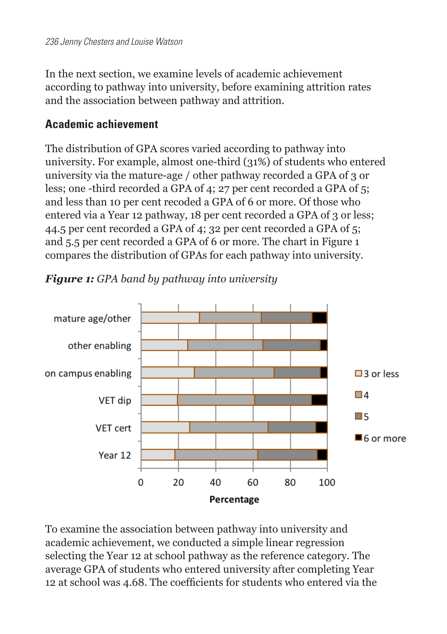In the next section, we examine levels of academic achievement according to pathway into university, before examining attrition rates and the association between pathway and attrition.

#### **Academic achievement**

The distribution of GPA scores varied according to pathway into university. For example, almost one-third (31%) of students who entered university via the mature-age / other pathway recorded a GPA of 3 or less; one -third recorded a GPA of 4; 27 per cent recorded a GPA of 5; and less than 10 per cent recoded a GPA of 6 or more. Of those who entered via a Year 12 pathway, 18 per cent recorded a GPA of 3 or less; 44.5 per cent recorded a GPA of 4; 32 per cent recorded a GPA of 5; and 5.5 per cent recorded a GPA of 6 or more. The chart in Figure 1 compares the distribution of GPAs for each pathway into university.



*Figure 1: GPA band by pathway into university*

To examine the association between pathway into university and academic achievement, we conducted a simple linear regression selecting the Year 12 at school pathway as the reference category. The average GPA of students who entered university after completing Year 12 at school was 4.68. The coefficients for students who entered via the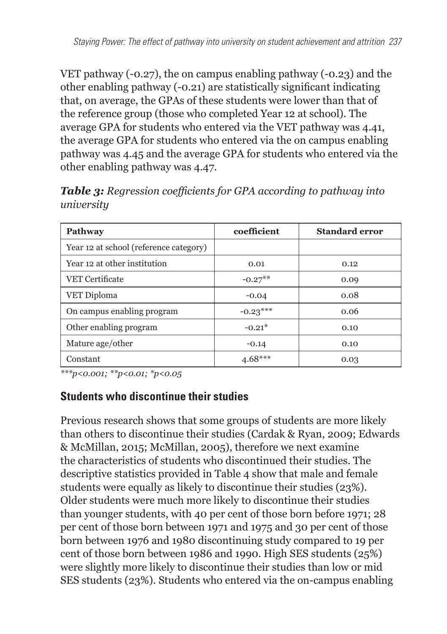VET pathway (-0.27), the on campus enabling pathway (-0.23) and the other enabling pathway (-0.21) are statistically significant indicating that, on average, the GPAs of these students were lower than that of the reference group (those who completed Year 12 at school). The average GPA for students who entered via the VET pathway was 4.41, the average GPA for students who entered via the on campus enabling pathway was 4.45 and the average GPA for students who entered via the other enabling pathway was 4.47.

| Pathway                                | coefficient | <b>Standard error</b> |
|----------------------------------------|-------------|-----------------------|
| Year 12 at school (reference category) |             |                       |
| Year 12 at other institution           | 0.01        | 0.12                  |
| <b>VET Certificate</b>                 | $-0.27**$   | 0.09                  |
| VET Diploma                            | $-0.04$     | 0.08                  |
| On campus enabling program             | $-0.23***$  | 0.06                  |
| Other enabling program                 | $-0.21*$    | 0.10                  |
| Mature age/other                       | $-0.14$     | 0.10                  |
| Constant                               | $4.68***$   | 0.03                  |

*Table 3: Regression coefficients for GPA according to pathway into university*

*\*\*\*p<0.001; \*\*p<0.01; \*p<0.05*

### **Students who discontinue their studies**

Previous research shows that some groups of students are more likely than others to discontinue their studies (Cardak & Ryan, 2009; Edwards & McMillan, 2015; McMillan, 2005), therefore we next examine the characteristics of students who discontinued their studies. The descriptive statistics provided in Table 4 show that male and female students were equally as likely to discontinue their studies (23%). Older students were much more likely to discontinue their studies than younger students, with 40 per cent of those born before 1971; 28 per cent of those born between 1971 and 1975 and 30 per cent of those born between 1976 and 1980 discontinuing study compared to 19 per cent of those born between 1986 and 1990. High SES students (25%) were slightly more likely to discontinue their studies than low or mid SES students (23%). Students who entered via the on-campus enabling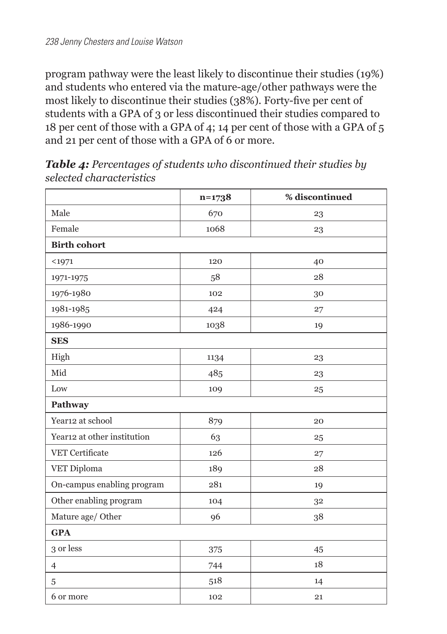program pathway were the least likely to discontinue their studies (19%) and students who entered via the mature-age/other pathways were the most likely to discontinue their studies (38%). Forty-five per cent of students with a GPA of 3 or less discontinued their studies compared to 18 per cent of those with a GPA of 4; 14 per cent of those with a GPA of 5 and 21 per cent of those with a GPA of 6 or more.

|                             | $n=1738$ | % discontinued |  |
|-----------------------------|----------|----------------|--|
| Male                        | 670      | 23             |  |
| Female                      | 1068     | 23             |  |
| <b>Birth cohort</b>         |          |                |  |
| $1971$                      | 120      | 40             |  |
| 1971-1975                   | 58       | 28             |  |
| 1976-1980                   | 102      | 30             |  |
| 1981-1985                   | 424      | 27             |  |
| 1986-1990                   | 1038     | 19             |  |
| <b>SES</b>                  |          |                |  |
| High                        | 1134     | 23             |  |
| Mid                         | 485      | 23             |  |
| Low                         | 109      | 25             |  |
| Pathway                     |          |                |  |
| Year12 at school            | 879      | 20             |  |
| Year12 at other institution | 63       | 25             |  |
| VET Certificate             | 126      | 27             |  |
| VET Diploma                 | 189      | 28             |  |
| On-campus enabling program  | 281      | 19             |  |
| Other enabling program      | 104      | 32             |  |
| Mature age/ Other           | 96       | 38             |  |
| <b>GPA</b>                  |          |                |  |
| 3 or less                   | 375      | 45             |  |
| $\overline{4}$              | 744      | 18             |  |
| 5                           | 518      | 14             |  |
| 6 or more                   | 102      | 21             |  |

*Table 4: Percentages of students who discontinued their studies by selected characteristics*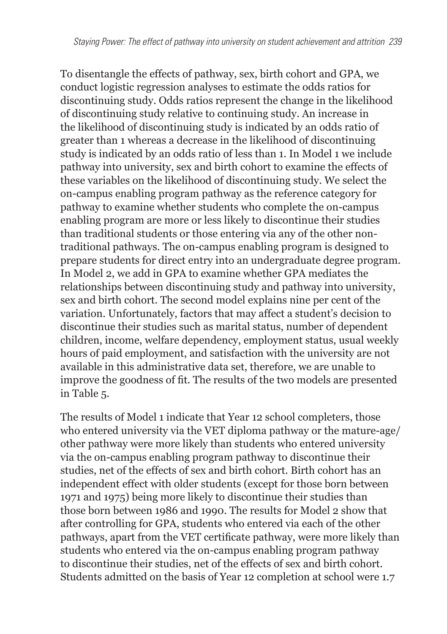To disentangle the effects of pathway, sex, birth cohort and GPA, we conduct logistic regression analyses to estimate the odds ratios for discontinuing study. Odds ratios represent the change in the likelihood of discontinuing study relative to continuing study. An increase in the likelihood of discontinuing study is indicated by an odds ratio of greater than 1 whereas a decrease in the likelihood of discontinuing study is indicated by an odds ratio of less than 1. In Model 1 we include pathway into university, sex and birth cohort to examine the effects of these variables on the likelihood of discontinuing study. We select the on-campus enabling program pathway as the reference category for pathway to examine whether students who complete the on-campus enabling program are more or less likely to discontinue their studies than traditional students or those entering via any of the other nontraditional pathways. The on-campus enabling program is designed to prepare students for direct entry into an undergraduate degree program. In Model 2, we add in GPA to examine whether GPA mediates the relationships between discontinuing study and pathway into university, sex and birth cohort. The second model explains nine per cent of the variation. Unfortunately, factors that may affect a student's decision to discontinue their studies such as marital status, number of dependent children, income, welfare dependency, employment status, usual weekly hours of paid employment, and satisfaction with the university are not available in this administrative data set, therefore, we are unable to improve the goodness of fit. The results of the two models are presented in Table 5.

The results of Model 1 indicate that Year 12 school completers, those who entered university via the VET diploma pathway or the mature-age/ other pathway were more likely than students who entered university via the on-campus enabling program pathway to discontinue their studies, net of the effects of sex and birth cohort. Birth cohort has an independent effect with older students (except for those born between 1971 and 1975) being more likely to discontinue their studies than those born between 1986 and 1990. The results for Model 2 show that after controlling for GPA, students who entered via each of the other pathways, apart from the VET certificate pathway, were more likely than students who entered via the on-campus enabling program pathway to discontinue their studies, net of the effects of sex and birth cohort. Students admitted on the basis of Year 12 completion at school were 1.7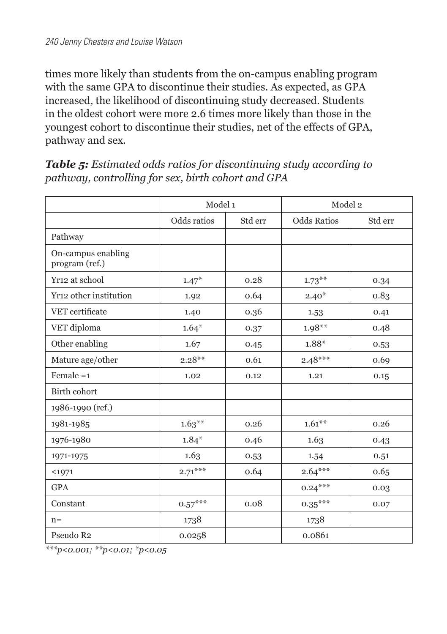times more likely than students from the on-campus enabling program with the same GPA to discontinue their studies. As expected, as GPA increased, the likelihood of discontinuing study decreased. Students in the oldest cohort were more 2.6 times more likely than those in the youngest cohort to discontinue their studies, net of the effects of GPA, pathway and sex.

*Table 5: Estimated odds ratios for discontinuing study according to pathway, controlling for sex, birth cohort and GPA* 

|                                      | Model 1     |         | Model 2            |         |
|--------------------------------------|-------------|---------|--------------------|---------|
|                                      | Odds ratios | Std err | <b>Odds Ratios</b> | Std err |
| Pathway                              |             |         |                    |         |
| On-campus enabling<br>program (ref.) |             |         |                    |         |
| Yr12 at school                       | $1.47*$     | 0.28    | $1.73***$          | 0.34    |
| Yr12 other institution               | 1.92        | 0.64    | $2.40*$            | 0.83    |
| VET certificate                      | 1.40        | 0.36    | 1.53               | 0.41    |
| VET diploma                          | $1.64*$     | 0.37    | $1.98**$           | 0.48    |
| Other enabling                       | 1.67        | 0.45    | 1.88*              | 0.53    |
| Mature age/other                     | $2.28**$    | 0.61    | $2.48***$          | 0.69    |
| Female $=1$                          | 1.02        | 0.12    | 1.21               | 0.15    |
| Birth cohort                         |             |         |                    |         |
| 1986-1990 (ref.)                     |             |         |                    |         |
| 1981-1985                            | $1.63***$   | 0.26    | $1.61***$          | 0.26    |
| 1976-1980                            | $1.84*$     | 0.46    | 1.63               | 0.43    |
| 1971-1975                            | 1.63        | 0.53    | 1.54               | 0.51    |
| $1971$                               | $2.71***$   | 0.64    | $2.64***$          | 0.65    |
| <b>GPA</b>                           |             |         | $0.24***$          | 0.03    |
| Constant                             | $0.57***$   | 0.08    | $0.35***$          | 0.07    |
| $n=$                                 | 1738        |         | 1738               |         |
| Pseudo R <sub>2</sub>                | 0.0258      |         | 0.0861             |         |

*\*\*\*p<0.001; \*\*p<0.01; \*p<0.05*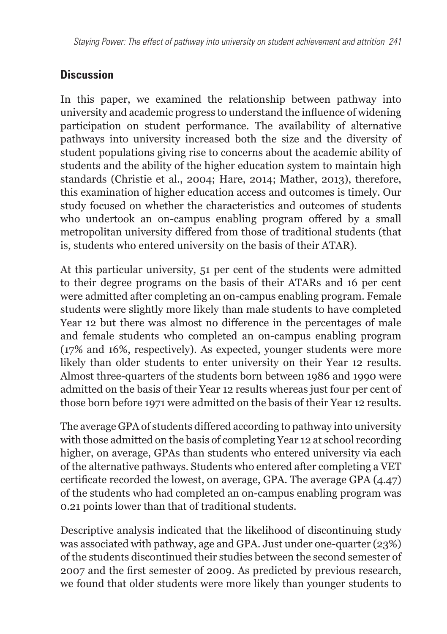## **Discussion**

In this paper, we examined the relationship between pathway into university and academic progress to understand the influence of widening participation on student performance. The availability of alternative pathways into university increased both the size and the diversity of student populations giving rise to concerns about the academic ability of students and the ability of the higher education system to maintain high standards (Christie et al., 2004; Hare, 2014; Mather, 2013), therefore, this examination of higher education access and outcomes is timely. Our study focused on whether the characteristics and outcomes of students who undertook an on-campus enabling program offered by a small metropolitan university differed from those of traditional students (that is, students who entered university on the basis of their ATAR).

At this particular university, 51 per cent of the students were admitted to their degree programs on the basis of their ATARs and 16 per cent were admitted after completing an on-campus enabling program. Female students were slightly more likely than male students to have completed Year 12 but there was almost no difference in the percentages of male and female students who completed an on-campus enabling program (17% and 16%, respectively). As expected, younger students were more likely than older students to enter university on their Year 12 results. Almost three-quarters of the students born between 1986 and 1990 were admitted on the basis of their Year 12 results whereas just four per cent of those born before 1971 were admitted on the basis of their Year 12 results.

The average GPA of students differed according to pathway into university with those admitted on the basis of completing Year 12 at school recording higher, on average, GPAs than students who entered university via each of the alternative pathways. Students who entered after completing a VET certificate recorded the lowest, on average, GPA. The average GPA (4.47) of the students who had completed an on-campus enabling program was 0.21 points lower than that of traditional students.

Descriptive analysis indicated that the likelihood of discontinuing study was associated with pathway, age and GPA. Just under one-quarter (23%) of the students discontinued their studies between the second semester of 2007 and the first semester of 2009. As predicted by previous research, we found that older students were more likely than younger students to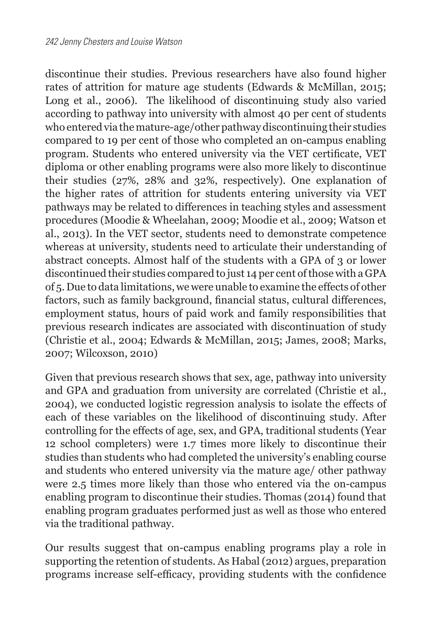discontinue their studies. Previous researchers have also found higher rates of attrition for mature age students (Edwards & McMillan, 2015; Long et al., 2006). The likelihood of discontinuing study also varied according to pathway into university with almost 40 per cent of students who entered via the mature-age/other pathway discontinuing their studies compared to 19 per cent of those who completed an on-campus enabling program. Students who entered university via the VET certificate, VET diploma or other enabling programs were also more likely to discontinue their studies (27%, 28% and 32%, respectively). One explanation of the higher rates of attrition for students entering university via VET pathways may be related to differences in teaching styles and assessment procedures (Moodie & Wheelahan, 2009; Moodie et al., 2009; Watson et al., 2013). In the VET sector, students need to demonstrate competence whereas at university, students need to articulate their understanding of abstract concepts. Almost half of the students with a GPA of 3 or lower discontinued their studies compared to just 14 per cent of those with a GPA of 5. Due to data limitations, we were unable to examine the effects of other factors, such as family background, financial status, cultural differences, employment status, hours of paid work and family responsibilities that previous research indicates are associated with discontinuation of study (Christie et al., 2004; Edwards & McMillan, 2015; James, 2008; Marks, 2007; Wilcoxson, 2010)

Given that previous research shows that sex, age, pathway into university and GPA and graduation from university are correlated (Christie et al., 2004), we conducted logistic regression analysis to isolate the effects of each of these variables on the likelihood of discontinuing study. After controlling for the effects of age, sex, and GPA, traditional students (Year 12 school completers) were 1.7 times more likely to discontinue their studies than students who had completed the university's enabling course and students who entered university via the mature age/ other pathway were 2.5 times more likely than those who entered via the on-campus enabling program to discontinue their studies. Thomas (2014) found that enabling program graduates performed just as well as those who entered via the traditional pathway.

Our results suggest that on-campus enabling programs play a role in supporting the retention of students. As Habal (2012) argues, preparation programs increase self-efficacy, providing students with the confidence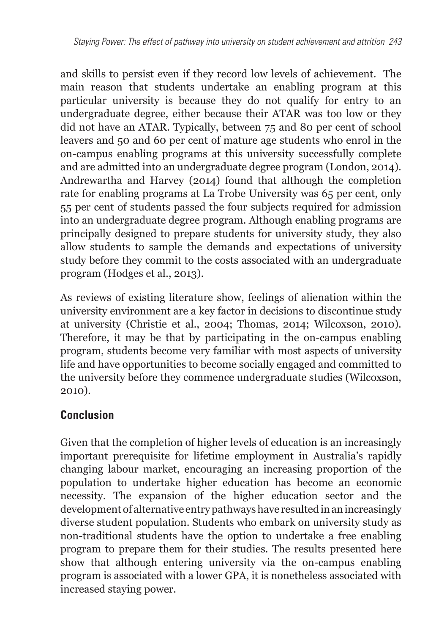and skills to persist even if they record low levels of achievement. The main reason that students undertake an enabling program at this particular university is because they do not qualify for entry to an undergraduate degree, either because their ATAR was too low or they did not have an ATAR. Typically, between 75 and 80 per cent of school leavers and 50 and 60 per cent of mature age students who enrol in the on-campus enabling programs at this university successfully complete and are admitted into an undergraduate degree program (London, 2014). Andrewartha and Harvey (2014) found that although the completion rate for enabling programs at La Trobe University was 65 per cent, only 55 per cent of students passed the four subjects required for admission into an undergraduate degree program. Although enabling programs are principally designed to prepare students for university study, they also allow students to sample the demands and expectations of university study before they commit to the costs associated with an undergraduate program (Hodges et al., 2013).

As reviews of existing literature show, feelings of alienation within the university environment are a key factor in decisions to discontinue study at university (Christie et al., 2004; Thomas, 2014; Wilcoxson, 2010). Therefore, it may be that by participating in the on-campus enabling program, students become very familiar with most aspects of university life and have opportunities to become socially engaged and committed to the university before they commence undergraduate studies (Wilcoxson, 2010).

## **Conclusion**

Given that the completion of higher levels of education is an increasingly important prerequisite for lifetime employment in Australia's rapidly changing labour market, encouraging an increasing proportion of the population to undertake higher education has become an economic necessity. The expansion of the higher education sector and the development of alternative entry pathways have resulted in an increasingly diverse student population. Students who embark on university study as non-traditional students have the option to undertake a free enabling program to prepare them for their studies. The results presented here show that although entering university via the on-campus enabling program is associated with a lower GPA, it is nonetheless associated with increased staying power.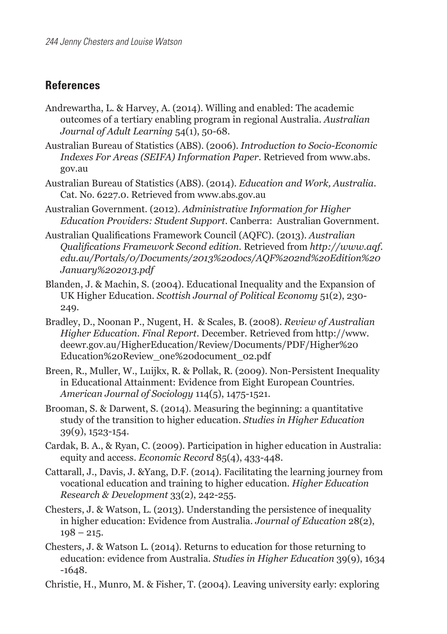#### **References**

- Andrewartha, L. & Harvey, A. (2014). Willing and enabled: The academic outcomes of a tertiary enabling program in regional Australia. *Australian Journal of Adult Learning* 54(1), 50-68.
- Australian Bureau of Statistics (ABS). (2006). *Introduction to Socio-Economic Indexes For Areas (SEIFA) Information Paper*. Retrieved from [www.abs.](http://www.abs.gov.au) [gov.au](http://www.abs.gov.au)
- Australian Bureau of Statistics (ABS). (2014). *Education and Work, Australia*. Cat. No. 6227.0. Retrieved from [www.abs.gov.au](http://www.abs.gov.au)
- Australian Government. (2012). *Administrative Information for Higher Education Providers: Student Support.* Canberra: Australian Government.
- Australian Qualifications Framework Council (AQFC). (2013). *Australian Qualifications Framework Second edition.* Retrieved from *[http://www.aqf.](http://www.aqf.edu.au/Portals/0/Documents/2013 docs/AQF 2nd Edition January 2013.pdf) [edu.au/Portals/0/Documents/2013%20docs/AQF%202nd%20Edition%20](http://www.aqf.edu.au/Portals/0/Documents/2013 docs/AQF 2nd Edition January 2013.pdf) [January%202013.pdf](http://www.aqf.edu.au/Portals/0/Documents/2013 docs/AQF 2nd Edition January 2013.pdf)*
- Blanden, J. & Machin, S. (2004). Educational Inequality and the Expansion of UK Higher Education. *Scottish Journal of Political Economy* 51(2), 230- 249.
- Bradley, D., Noonan P., Nugent, H. & Scales, B. (2008). *Review of Australian Higher Education. Final Report*. December. Retrieved from [http://www.](http://www.deewr.gov.au/HigherEducation/Review/Documents/PDF/Higher Education Review_one document_02.pdf) [deewr.gov.au/HigherEducation/Review/Documents/PDF/Higher%20](http://www.deewr.gov.au/HigherEducation/Review/Documents/PDF/Higher Education Review_one document_02.pdf) [Education%20Review\\_one%20document\\_02.pdf](http://www.deewr.gov.au/HigherEducation/Review/Documents/PDF/Higher Education Review_one document_02.pdf)
- Breen, R., Muller, W., Luijkx, R. & Pollak, R. (2009). Non-Persistent Inequality in Educational Attainment: Evidence from Eight European Countries. *American Journal of Sociology* 114(5), 1475-1521.
- Brooman, S. & Darwent, S. (2014). Measuring the beginning: a quantitative study of the transition to higher education. *Studies in Higher Education* 39(9), 1523-154.
- Cardak, B. A., & Ryan, C. (2009). Participation in higher education in Australia: equity and access. *Economic Record* 85(4), 433-448.
- Cattarall, J., Davis, J. &Yang, D.F. (2014). Facilitating the learning journey from vocational education and training to higher education. *Higher Education Research & Development* 33(2), 242-255.
- Chesters, J. & Watson, L. (2013). Understanding the persistence of inequality in higher education: Evidence from Australia. *Journal of Education* 28(2),  $198 - 215$ .
- Chesters, J. & Watson L. (2014). Returns to education for those returning to education: evidence from Australia. *Studies in Higher Education* 39(9), 1634  $-1648.$
- Christie, H., Munro, M. & Fisher, T. (2004). Leaving university early: exploring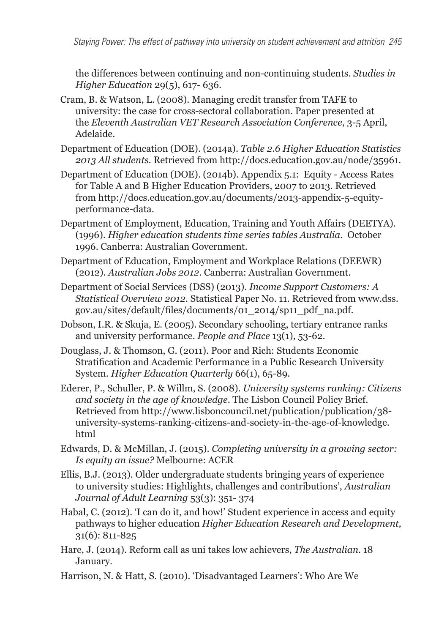the differences between continuing and non-continuing students. *Studies in Higher Education* 29(5), 617- 636.

- Cram, B. & Watson, L. (2008). Managing credit transfer from TAFE to university: the case for cross-sectoral collaboration. Paper presented at the *Eleventh Australian VET Research Association Conference*, 3-5 April, Adelaide.
- Department of Education (DOE). (2014a). *Table 2.6 Higher Education Statistics 2013 All students.* Retrieved from<http://docs.education.gov.au/node/35961>.
- Department of Education (DOE). (2014b). Appendix 5.1: Equity Access Rates for Table A and B Higher Education Providers, 2007 to 2013. Retrieved from http://docs.education.gov.au/documents/2013-appendix-5-equityperformance-data.
- Department of Employment, Education, Training and Youth Affairs (DEETYA). (1996). *Higher education students time series tables Australia.* October 1996. Canberra: Australian Government.
- Department of Education, Employment and Workplace Relations (DEEWR) (2012). *Australian Jobs 2012.* Canberra: Australian Government.
- Department of Social Services (DSS) (2013). *Income Support Customers: A Statistical Overview 2012.* Statistical Paper No. 11. Retrieved from www.dss. gov.au/sites/default/files/documents/01\_2014/sp11\_pdf\_na.pdf.
- Dobson, I.R. & Skuja, E. (2005). Secondary schooling, tertiary entrance ranks and university performance. *People and Place* 13(1), 53-62.
- Douglass, J. & Thomson, G. (2011). Poor and Rich: Students Economic Stratification and Academic Performance in a Public Research University System. *Higher Education Quarterly* 66(1), 65-89.
- Ederer, P., Schuller, P. & Willm, S. (2008). *University systems ranking: Citizens and society in the age of knowledge*. The Lisbon Council Policy Brief. Retrieved from [http://www.lisboncouncil.net/publication/publication/38](http://www.lisboncouncil.net/publication/publication/38-university-systems-ranking-citizens-and-society-in-the-age-of-knowledge.html) [university-systems-ranking-citizens-and-society-in-the-age-of-knowledge.](http://www.lisboncouncil.net/publication/publication/38-university-systems-ranking-citizens-and-society-in-the-age-of-knowledge.html) [html](http://www.lisboncouncil.net/publication/publication/38-university-systems-ranking-citizens-and-society-in-the-age-of-knowledge.html)
- Edwards, D. & McMillan, J. (2015). *Completing university in a growing sector: Is equity an issue?* Melbourne: ACER
- Ellis, B.J. (2013). Older undergraduate students bringing years of experience to university studies: Highlights, challenges and contributions', *Australian Journal of Adult Learning* 53(3): 351- 374
- Habal, C. (2012). 'I can do it, and how!' Student experience in access and equity pathways to higher education *Higher Education Research and Development,*  31(6): 811-825
- Hare, J. (2014). Reform call as uni takes low achievers, *The Australian.* 18 January.
- Harrison, N. & Hatt, S. (2010). 'Disadvantaged Learners': Who Are We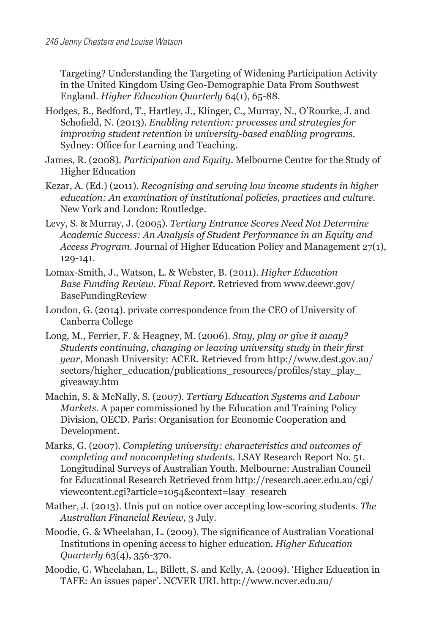Targeting? Understanding the Targeting of Widening Participation Activity in the United Kingdom Using Geo-Demographic Data From Southwest England. *Higher Education Quarterly* 64(1), 65-88.

- Hodges, B., Bedford, T., Hartley, J., Klinger, C., Murray, N., O'Rourke, J. and Schofield, N. (2013). *Enabling retention: processes and strategies for improving student retention in university-based enabling programs.* Sydney: Office for Learning and Teaching.
- James, R. (2008). *Participation and Equity*. Melbourne Centre for the Study of Higher Education
- Kezar, A. (Ed.) (2011). *Recognising and serving low income students in higher education: An examination of institutional policies, practices and culture.* New York and London: Routledge.
- Levy, S. & Murray, J. (2005). *Tertiary Entrance Scores Need Not Determine Academic Success: An Analysis of Student Performance in an Equity and Access Program.* Journal of Higher Education Policy and Management 27(1), 129-141.
- Lomax-Smith, J., Watson, L. & Webster, B. (2011). *Higher Education Base Funding Review. Final Report*. Retrieved from www.deewr.gov/ BaseFundingReview
- London, G. (2014). private correspondence from the CEO of University of Canberra College
- Long, M., Ferrier, F. & Heagney, M. (2006). *Stay, play or give it away? Students continuing, changing or leaving university study in their first year*, Monash University: ACER. Retrieved from [http://www.dest.gov.au/](http://www.dest.gov.au/sectors/higher_education/publications_resources/profiles/stay_play_giveaway.htm) [sectors/higher\\_education/publications\\_resources/profiles/stay\\_play\\_](http://www.dest.gov.au/sectors/higher_education/publications_resources/profiles/stay_play_giveaway.htm) [giveaway.htm](http://www.dest.gov.au/sectors/higher_education/publications_resources/profiles/stay_play_giveaway.htm)
- Machin, S. & McNally, S. (2007). *Tertiary Education Systems and Labour Markets*. A paper commissioned by the Education and Training Policy Division, OECD. Paris: Organisation for Economic Cooperation and Development.
- Marks, G. (2007). *Completing university: characteristics and outcomes of completing and noncompleting students*. LSAY Research Report No. 51. Longitudinal Surveys of Australian Youth. Melbourne: Australian Council for Educational Research Retrieved from http://research.acer.edu.au/cgi/ viewcontent.cgi?article=1054&context=lsay\_research
- Mather, J. (2013). Unis put on notice over accepting low-scoring students. *The Australian Financial Review,* 3 July.
- Moodie, G. & Wheelahan, L. (2009). The significance of Australian Vocational Institutions in opening access to higher education. *Higher Education Quarterly* 63(4), 356-370.
- Moodie, G. Wheelahan, L., Billett, S. and Kelly, A. (2009). 'Higher Education in TAFE: An issues paper'. NCVER URL<http://www.ncver.edu.au/>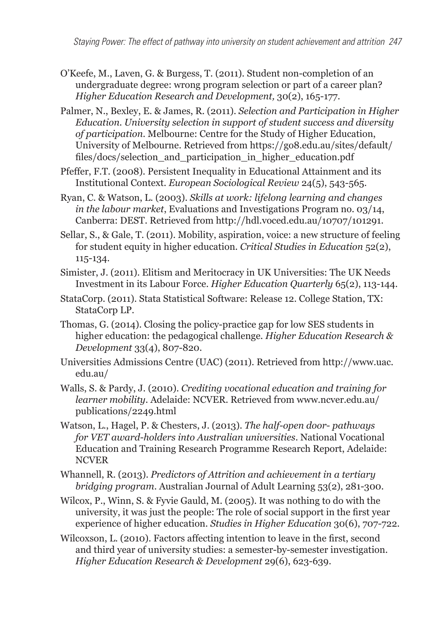- O'Keefe, M., Laven, G. & Burgess, T. (2011). Student non-completion of an undergraduate degree: wrong program selection or part of a career plan? *Higher Education Research and Development,* 30(2), 165-177.
- Palmer, N., Bexley, E. & James, R. (2011). *Selection and Participation in Higher Education. University selection in support of student success and diversity of participation*. Melbourne: Centre for the Study of Higher Education, University of Melbourne. Retrieved from https://go8.edu.au/sites/default/ files/docs/selection and participation in higher education.pdf
- Pfeffer, F.T. (2008). Persistent Inequality in Educational Attainment and its Institutional Context. *European Sociological Review* 24(5), 543-565.
- Ryan, C. & Watson, L. (2003). *Skills at work: lifelong learning and changes in the labour market*, Evaluations and Investigations Program no. 03/14, Canberra: DEST. Retrieved from [http://hdl.voced.edu.au/10707/101291.](http://hdl.voced.edu.au/10707/101291)
- Sellar, S., & Gale, T. (2011). Mobility, aspiration, voice: a new structure of feeling for student equity in higher education. *Critical Studies in Education* 52(2), 115-134.
- Simister, J. (2011). Elitism and Meritocracy in UK Universities: The UK Needs Investment in its Labour Force. *Higher Education Quarterly* 65(2), 113-144.
- StataCorp. (2011). Stata Statistical Software: Release 12. College Station, TX: StataCorp LP.
- Thomas, G. (2014). Closing the policy-practice gap for low SES students in higher education: the pedagogical challenge. *Higher Education Research & Development* 33(4), 807-820.
- Universities Admissions Centre (UAC) (2011). Retrieved from [http://www.uac.](http://www.uac.edu.au/) [edu.au/](http://www.uac.edu.au/)
- Walls, S. & Pardy, J. (2010). *Crediting vocational education and training for learner mobility*. Adelaide: NCVER. Retrieved from [www.ncver.edu.au/](http://www.ncver.edu.au/publications/2249.html) [publications/2249.html](http://www.ncver.edu.au/publications/2249.html)
- Watson, L., Hagel, P. & Chesters, J. (2013). *The half-open door- pathways for VET award-holders into Australian universities*. National Vocational Education and Training Research Programme Research Report, Adelaide: NCVER
- Whannell, R. (2013). *Predictors of Attrition and achievement in a tertiary bridging program*. Australian Journal of Adult Learning 53(2), 281-300.
- Wilcox, P., Winn, S. & Fyvie Gauld, M. (2005). It was nothing to do with the university, it was just the people: The role of social support in the first year experience of higher education. *Studies in Higher Education* 30(6), 707-722.
- Wilcoxson, L. (2010). Factors affecting intention to leave in the first, second and third year of university studies: a semester-by-semester investigation. *Higher Education Research & Development* 29(6), 623-639.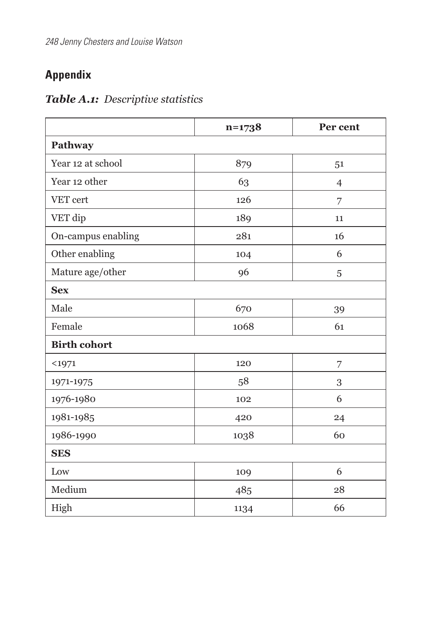# **Appendix**

| Table A.1: Descriptive statistics |  |
|-----------------------------------|--|
|-----------------------------------|--|

|                     | $n=1738$ | Per cent       |  |
|---------------------|----------|----------------|--|
| Pathway             |          |                |  |
| Year 12 at school   | 879      | 51             |  |
| Year 12 other       | 63       | $\overline{4}$ |  |
| VET cert            | 126      | 7              |  |
| VET dip             | 189      | 11             |  |
| On-campus enabling  | 281      | 16             |  |
| Other enabling      | 104      | 6              |  |
| Mature age/other    | 96       | 5              |  |
| <b>Sex</b>          |          |                |  |
| Male                | 670      | 39             |  |
| Female              | 1068     | 61             |  |
| <b>Birth cohort</b> |          |                |  |
| $1971$              | 120      | 7              |  |
| 1971-1975           | 58       | 3              |  |
| 1976-1980           | 102      | 6              |  |
| 1981-1985           | 420      | 24             |  |
| 1986-1990           | 1038     | 60             |  |
| <b>SES</b>          |          |                |  |
| Low                 | 109      | 6              |  |
| Medium              | 485      | 28             |  |
| High                | 1134     | 66             |  |